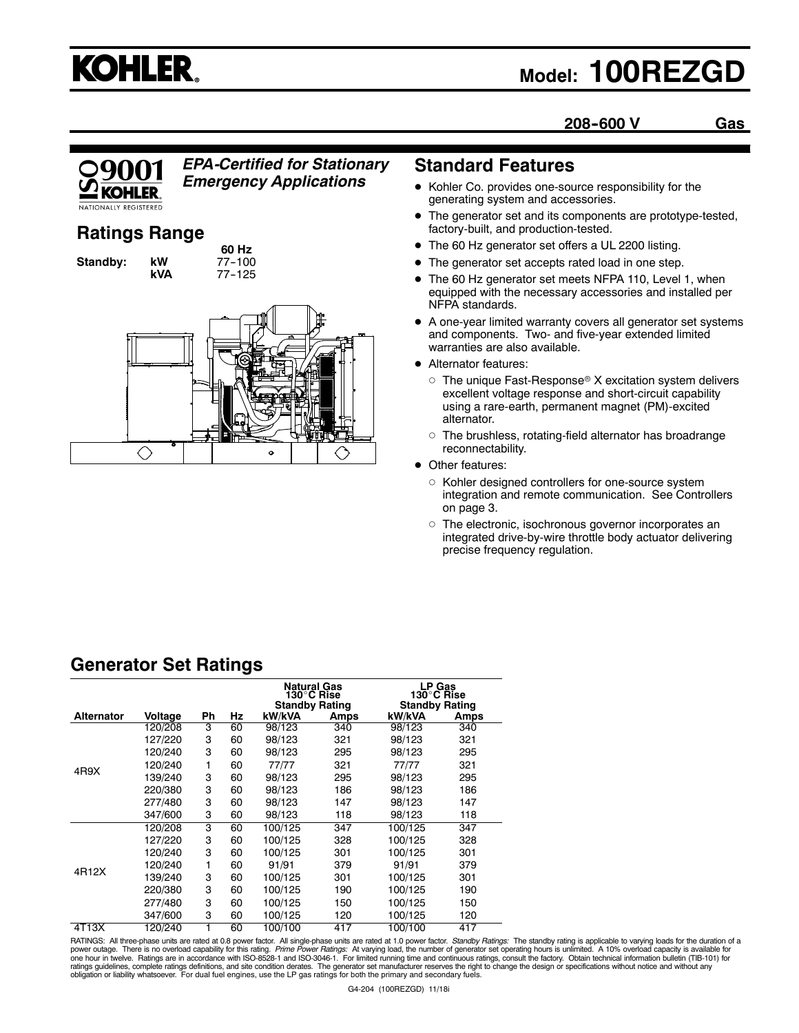# **KOHLER.**

## **Model: 100REZGD**

**208--600 V Gas**



## *EPA-Certified for Stationary*

*Emergency Applications*

## **Ratings Range**

**Standby: kW** 

**60 Hz**<br>77-100 **kVA** 77--125



## **Standard Features**

- Kohler Co. provides one-source responsibility for the generating system and accessories.
- The generator set and its components are prototype-tested, factory-built, and production-tested.
- The 60 Hz generator set offers a UL 2200 listing.
- The generator set accepts rated load in one step.
- The 60 Hz generator set meets NFPA 110, Level 1, when equipped with the necessary accessories and installed per NFPA standards.
- $\bullet$  A one-year limited warranty covers all generator set systems and components. Two- and five-year extended limited warranties are also available.
- **•** Alternator features:
	- $\circ$  The unique Fast-Response® X excitation system delivers excellent voltage response and short-circuit capability using a rare-earth, permanent magnet (PM)-excited alternator.
	- $\circ$  The brushless, rotating-field alternator has broadrange reconnectability.
- Other features:
	- o Kohler designed controllers for one-source system integration and remote communication. See Controllers on page 3.
	- o The electronic, isochronous governor incorporates an integrated drive-by-wire throttle body actuator delivering precise frequency regulation.

## **Generator Set Ratings**

|                   |         |    |    | <b>Natural Gas</b><br>130°C Rise<br><b>Standby Rating</b> |      | LP Gas<br>130°C Rise<br><b>Standby Rating</b> |      |
|-------------------|---------|----|----|-----------------------------------------------------------|------|-----------------------------------------------|------|
| <b>Alternator</b> | Voltage | Ph | Hz | kW/kVA                                                    | Amps | kW/kVA                                        | Amps |
|                   | 120/208 | 3  | 60 | 98/123                                                    | 340  | 98/123                                        | 340  |
|                   | 127/220 | 3  | 60 | 98/123                                                    | 321  | 98/123                                        | 321  |
|                   | 120/240 | 3  | 60 | 98/123                                                    | 295  | 98/123                                        | 295  |
|                   | 120/240 | 1  | 60 | 77/77                                                     | 321  | 77/77                                         | 321  |
| 4R9X              | 139/240 | 3  | 60 | 98/123                                                    | 295  | 98/123                                        | 295  |
|                   | 220/380 | 3  | 60 | 98/123                                                    | 186  | 98/123                                        | 186  |
|                   | 277/480 | 3  | 60 | 98/123                                                    | 147  | 98/123                                        | 147  |
|                   | 347/600 | 3  | 60 | 98/123                                                    | 118  | 98/123                                        | 118  |
|                   | 120/208 | 3  | 60 | 100/125                                                   | 347  | 100/125                                       | 347  |
|                   | 127/220 | 3  | 60 | 100/125                                                   | 328  | 100/125                                       | 328  |
| 4R12X             | 120/240 | 3  | 60 | 100/125                                                   | 301  | 100/125                                       | 301  |
|                   | 120/240 | 1  | 60 | 91/91                                                     | 379  | 91/91                                         | 379  |
|                   | 139/240 | 3  | 60 | 100/125                                                   | 301  | 100/125                                       | 301  |
|                   | 220/380 | 3  | 60 | 100/125                                                   | 190  | 100/125                                       | 190  |
|                   | 277/480 | 3  | 60 | 100/125                                                   | 150  | 100/125                                       | 150  |
|                   | 347/600 | 3  | 60 | 100/125                                                   | 120  | 100/125                                       | 120  |
| 4T13X             | 120/240 |    | 60 | 100/100                                                   | 417  | 100/100                                       | 417  |

RATINGS: All three-phase units are rated at 0.8 power factor. All single-phase units are rated at 1.0 power factor. *Standby Ratings:* The standby rating is applicable to varying loads for the duration of a<br>power outage. T ratings guidelines, complete ratings definitions, and site condition derates. The generator set manufacturer reserves the right to change the design or specifications without notice and without any<br>obligation or liability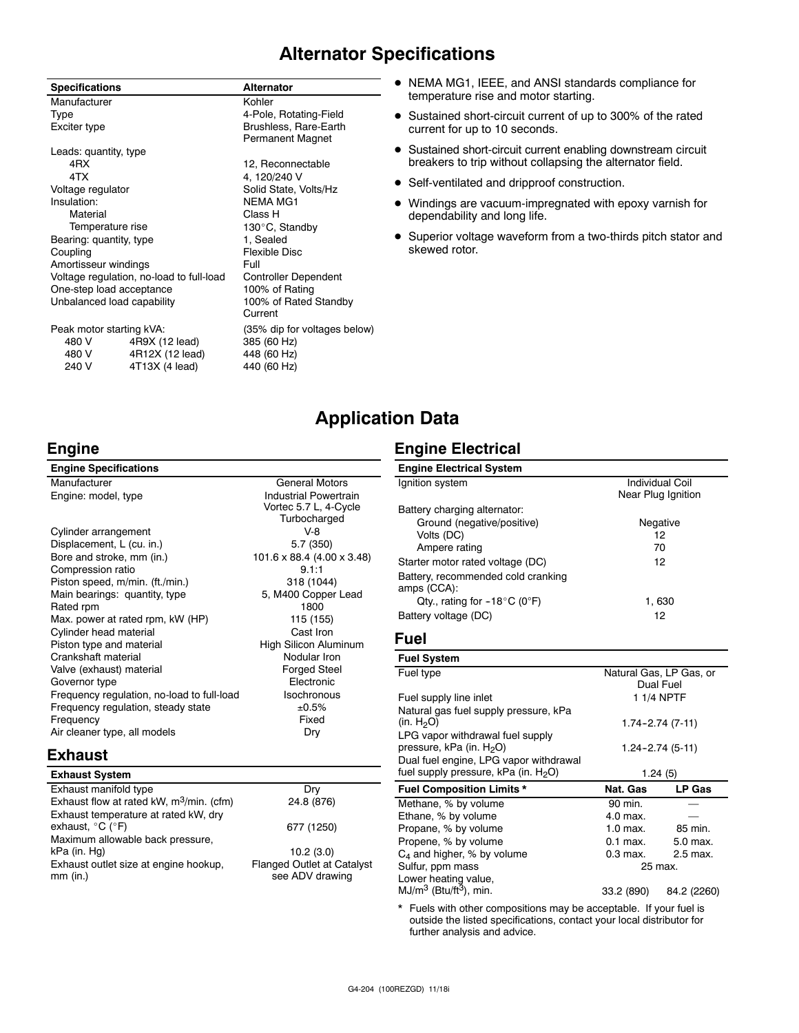## **Alternator Specifications**

| <b>Specifications</b>      |                                          | <b>Alternator</b>                                |  |
|----------------------------|------------------------------------------|--------------------------------------------------|--|
| Manufacturer               |                                          | Kohler                                           |  |
| Type                       |                                          | 4-Pole, Rotating-Field                           |  |
| Exciter type               |                                          | Brushless, Rare-Earth<br><b>Permanent Magnet</b> |  |
| Leads: quantity, type      |                                          |                                                  |  |
| 4RX                        |                                          | 12, Reconnectable                                |  |
| 4TX                        |                                          | 4, 120/240 V                                     |  |
| Voltage regulator          |                                          | Solid State, Volts/Hz                            |  |
| Insulation:                |                                          | <b>NEMA MG1</b>                                  |  |
| Material                   |                                          | Class H                                          |  |
| Temperature rise           |                                          | 130°C, Standby                                   |  |
| Bearing: quantity, type    |                                          | 1, Sealed                                        |  |
| Coupling                   |                                          | <b>Flexible Disc</b>                             |  |
| Amortisseur windings       |                                          | Full                                             |  |
|                            | Voltage regulation, no-load to full-load | <b>Controller Dependent</b>                      |  |
| One-step load acceptance   |                                          | 100% of Rating                                   |  |
| Unbalanced load capability |                                          | 100% of Rated Standby                            |  |
|                            |                                          | Current                                          |  |
| Peak motor starting kVA:   |                                          | (35% dip for voltages below)                     |  |
| 480 V                      | 4R9X (12 lead)                           | 385 (60 Hz)                                      |  |
| 480 V                      | 4R12X (12 lead)                          | 448 (60 Hz)                                      |  |
| 240 V                      | 4T13X (4 lead)                           | 440 (60 Hz)                                      |  |

- NEMA MG1, IEEE, and ANSI standards compliance for temperature rise and motor starting.
- Sustained short-circuit current of up to 300% of the rated current for up to 10 seconds.
- **•** Sustained short-circuit current enabling downstream circuit breakers to trip without collapsing the alternator field.
- Self-ventilated and dripproof construction.
- Windings are vacuum-impregnated with epoxy varnish for dependability and long life.
- Superior voltage waveform from a two-thirds pitch stator and skewed rotor.

## **Application Data**

Vortec 5.7 L, 4-Cycle

### **Engine**

**Engine Specifications**

240 V 4T13X (4 lead)

Manufacturer General Motors Engine: model, type Industrial Powertrain

Turbocharged Cylinder arrangement V-8 Displacement, L (cu. in.) 5.7 (350) Bore and stroke, mm (in.) 101.6 x 88.4 (4.00 x 3.48) Compression ratio 9.1:1 Piston speed, m/min. (ft./min.) 318 (1044) Main bearings: quantity, type 5, M400 Copper Lead Rated rpm 1800 Max. power at rated rpm, kW (HP) 115 (155) Cylinder head material Cast Iron<br>
Piston type and material Cast China High Silicon Aluminum Piston type and material Crankshaft material Nodular Iron Valve (exhaust) material exhaustic metal forged Steel<br>Governor type extension of the Electronic Governor type Frequency regulation, no-load to full-load lsochronous Frequency regulation, steady state  $\pm 0.5\%$ Frequency Fixed Air cleaner type, all models Dry

#### **Exhaust**

| <b>Exhaust System</b>                                                         |                                   |
|-------------------------------------------------------------------------------|-----------------------------------|
| Exhaust manifold type                                                         | Drv                               |
| Exhaust flow at rated kW, $m^3/m$ in. (cfm)                                   | 24.8 (876)                        |
| Exhaust temperature at rated kW, dry<br>exhaust, $^{\circ}$ C ( $^{\circ}$ F) | 677 (1250)                        |
| Maximum allowable back pressure,                                              |                                   |
| kPa (in. Hg)                                                                  | 10.2(3.0)                         |
| Exhaust outlet size at engine hookup,                                         | <b>Flanged Outlet at Catalyst</b> |
| $mm$ (in.)                                                                    | see ADV drawing                   |

## **Engine Electrical**

| <b>Engine Electrical System</b>        |                        |
|----------------------------------------|------------------------|
| Ignition system                        | <b>Individual Coil</b> |
|                                        | Near Plug Ignition     |
| Battery charging alternator:           |                        |
| Ground (negative/positive)             | Negative               |
| Volts (DC)                             | 12                     |
| Ampere rating                          | 70                     |
| Starter motor rated voltage (DC)       | 12                     |
| Battery, recommended cold cranking     |                        |
| amps (CCA):                            |                        |
| Qty., rating for $-18^{\circ}$ C (0°F) | 1.630                  |
| Battery voltage (DC)                   | 12                     |

#### **Fuel**

| <b>Fuel System</b>                                                       |            |                                      |
|--------------------------------------------------------------------------|------------|--------------------------------------|
| Fuel type                                                                |            | Natural Gas, LP Gas, or<br>Dual Fuel |
| Fuel supply line inlet                                                   |            | 1 1/4 NPTF                           |
| Natural gas fuel supply pressure, kPa                                    |            |                                      |
| (in. $H_2O$ )                                                            |            | 1.74-2.74 (7-11)                     |
| LPG vapor withdrawal fuel supply<br>pressure, kPa (in. H <sub>2</sub> O) |            | $1.24 - 2.74(5-11)$                  |
| Dual fuel engine, LPG vapor withdrawal                                   |            |                                      |
| fuel supply pressure, kPa (in. $H_2O$ )                                  |            | 1.24(5)                              |
| <b>Fuel Composition Limits *</b>                                         | Nat. Gas   | LP Gas                               |
| Methane, % by volume                                                     | 90 min.    |                                      |
| Ethane, % by volume                                                      | 4.0 max.   |                                      |
| Propane, % by volume                                                     | $1.0$ max. | 85 min.                              |
| Propene, % by volume                                                     | $0.1$ max. | 5.0 max.                             |
| $C_4$ and higher, % by volume                                            | $0.3$ max. | 2.5 max.                             |
| Sulfur, ppm mass                                                         |            | 25 max.                              |
| Lower heating value,                                                     |            |                                      |
| $MJ/m^3$ (Btu/ft <sup>3</sup> ), min.                                    | 33.2 (890) | 84.2 (2260)                          |

Fuels with other compositions may be acceptable. If your fuel is outside the listed specifications, contact your local distributor for further analysis and advice.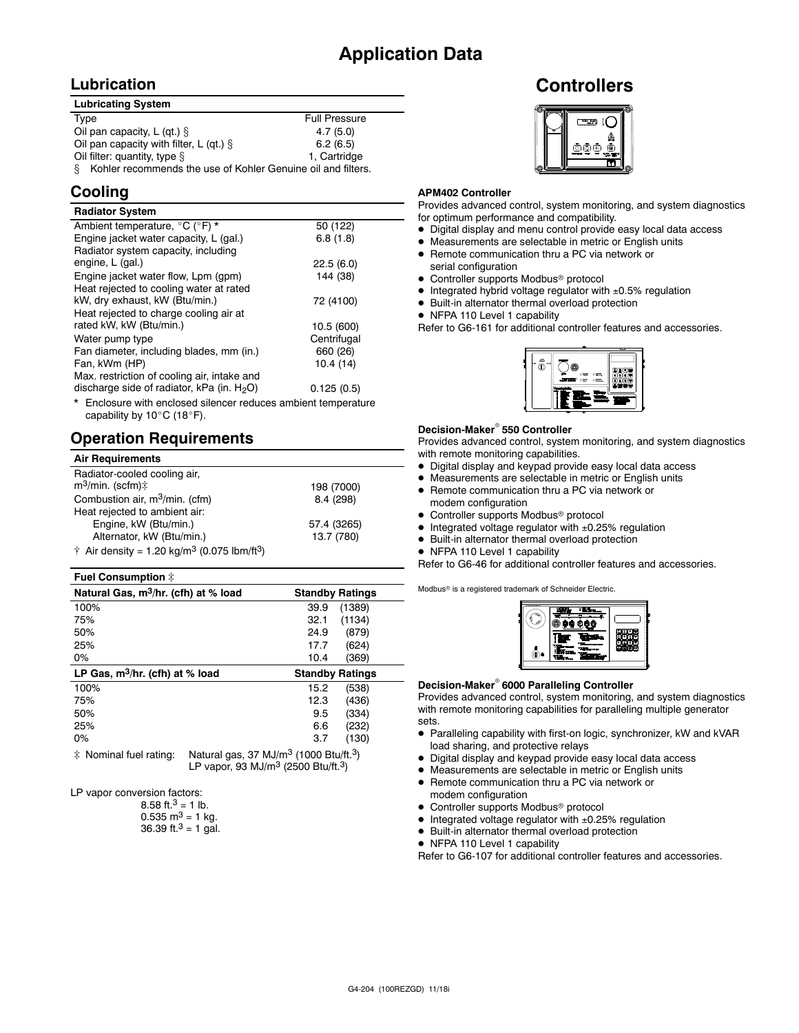## **Lubrication**

| <b>Lubricating System</b>                                         |                      |  |  |
|-------------------------------------------------------------------|----------------------|--|--|
| Type                                                              | <b>Full Pressure</b> |  |  |
| Oil pan capacity, L (qt.) $\S$                                    | 4.7(5.0)             |  |  |
| Oil pan capacity with filter, L (qt.) $\S$                        | 6.2(6.5)             |  |  |
| Oil filter: quantity, type §                                      | 1. Cartridge         |  |  |
| Kohler recommends the use of Kohler Genuine oil and filters.<br>8 |                      |  |  |

## **Cooling**

| <b>Radiator System</b>                                                 |             |
|------------------------------------------------------------------------|-------------|
| Ambient temperature, °C (°F) *                                         | 50 (122)    |
| Engine jacket water capacity, L (gal.)                                 | 6.8(1.8)    |
| Radiator system capacity, including                                    |             |
| engine, L (gal.)                                                       | 22.5(6.0)   |
| Engine jacket water flow, Lpm (gpm)                                    | 144 (38)    |
| Heat rejected to cooling water at rated                                |             |
| kW, dry exhaust, kW (Btu/min.)                                         | 72 (4100)   |
| Heat rejected to charge cooling air at                                 |             |
| rated kW, kW (Btu/min.)                                                | 10.5 (600)  |
| Water pump type                                                        | Centrifugal |
| Fan diameter, including blades, mm (in.)                               | 660 (26)    |
| Fan, kWm (HP)                                                          | 10.4(14)    |
| Max. restriction of cooling air, intake and                            |             |
| discharge side of radiator, kPa (in. $H_2O$ )                          | 0.125(0.5)  |
| <b>*</b> Englasure with anglessal allonger reduces ambient temperature |             |

Enclosure with enclosed silencer reduces ambient temperature capability by  $10^{\circ}$ C (18 $^{\circ}$ F).

## **Operation Requirements**

| <b>Air Requirements</b>                                                     |             |
|-----------------------------------------------------------------------------|-------------|
| Radiator-cooled cooling air,<br>$m^3$ /min. (scfm) $\ddagger$               | 198 (7000)  |
| Combustion air, m <sup>3</sup> /min. (cfm)                                  | 8.4 (298)   |
| Heat rejected to ambient air:                                               |             |
| Engine, kW (Btu/min.)                                                       | 57.4 (3265) |
| Alternator, kW (Btu/min.)                                                   | 13.7 (780)  |
| $\dagger$ Air density = 1.20 kg/m <sup>3</sup> (0.075 lbm/ft <sup>3</sup> ) |             |

#### **Fuel Consumption**  $\ddagger$

| Natural Gas, m <sup>3</sup> /hr. (cfh) at % load | <b>Standby Ratings</b> |
|--------------------------------------------------|------------------------|
| 100%                                             | (1389)<br>39.9         |
| 75%                                              | (1134)<br>32.1         |
| 50%                                              | (879)<br>24.9          |
| 25%                                              | (624)<br>17.7          |
| 0%                                               | 10.4<br>(369)          |
|                                                  |                        |
| LP Gas, $m^3/hr$ . (cfh) at % load               | <b>Standby Ratings</b> |
| 100%                                             | (538)<br>15.2          |
| 75%                                              | (436)<br>12.3          |
| 50%                                              | (334)<br>9.5           |
| 25%                                              | (232)<br>6.6           |
| $0\%$                                            | (130)<br>3.7           |

 $\ddagger$  Nominal fuel rating: Natural gas, 37 MJ/m<sup>3</sup> (1000 Btu/ft.<sup>3</sup>) LP vapor, 93 MJ/ $m^3$  (2500 Btu/ft.<sup>3</sup>)

LP vapor conversion factors:

| 8.58 ft. <sup>3</sup> = 1 lb.        |
|--------------------------------------|
| $0.535 \text{ m}^3 = 1 \text{ kg}$ . |
| 36.39 ft. $3 = 1$ gal.               |

## **Controllers**



#### **APM402 Controller**

Provides advanced control, system monitoring, and system diagnostics for optimum performance and compatibility.

- $\bullet$  Digital display and menu control provide easy local data access
- $\bullet$  Measurements are selectable in metric or English units
- Remote communication thru a PC via network or serial configuration
- Controller supports Modbus<sup>®</sup> protocol
- $\bullet$  Integrated hybrid voltage regulator with  $\pm 0.5\%$  regulation
- $\bullet$  Built-in alternator thermal overload protection
- NFPA 110 Level 1 capability

Refer to G6-161 for additional controller features and accessories.



#### **Decision-Maker<sup>®</sup> 550 Controller**

Provides advanced control, system monitoring, and system diagnostics with remote monitoring capabilities.

- $\bullet$  Digital display and keypad provide easy local data access
- $\bullet$  Measurements are selectable in metric or English units
- Remote communication thru a PC via network or modem configuration
- Controller supports Modbus<sup>®</sup> protocol
- $\bullet$  Integrated voltage regulator with  $\pm 0.25\%$  regulation
- $\bullet$  Built-in alternator thermal overload protection
- NFPA 110 Level 1 capability

Refer to G6-46 for additional controller features and accessories.

Modbus<sup>®</sup> is a registered trademark of Schneider Electric.

| Я | ŵ<br>ø<br>÷ |  |
|---|-------------|--|
|   |             |  |

#### **Decision-Maker<sup>®</sup> 6000 Paralleling Controller**

Provides advanced control, system monitoring, and system diagnostics with remote monitoring capabilities for paralleling multiple generator sets.

- Paralleling capability with first-on logic, synchronizer, kW and kVAR load sharing, and protective relays
- Digital display and keypad provide easy local data access
- Measurements are selectable in metric or English units
- Remote communication thru a PC via network or modem configuration
- Controller supports Modbus<sup>®</sup> protocol
- $\bullet$  Integrated voltage regulator with  $\pm 0.25\%$  regulation
- $\bullet$  Built-in alternator thermal overload protection
- NFPA 110 Level 1 capability

Refer to G6-107 for additional controller features and accessories.